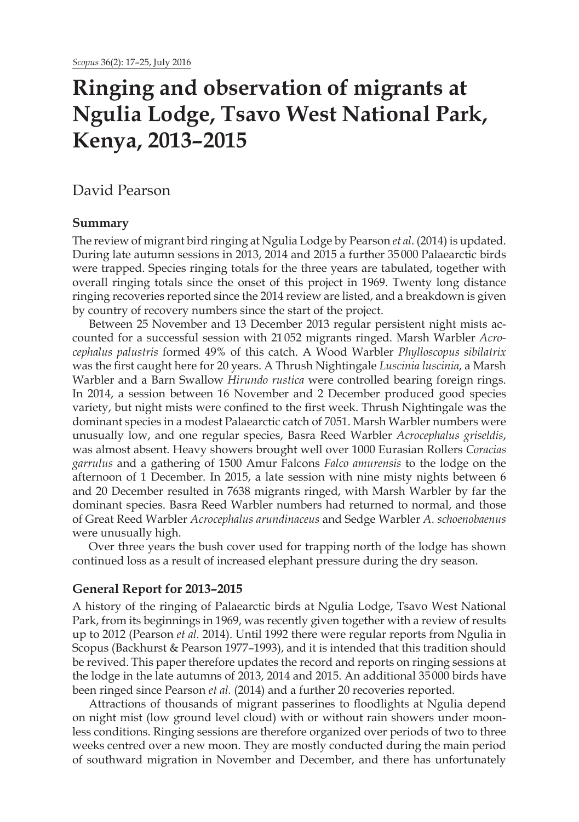# **Ringing and observation of migrants at Ngulia Lodge, Tsavo West National Park, Kenya, 2013–2015**

# David Pearson

# **Summary**

The review of migrant bird ringing at Ngulia Lodge by Pearson *et al*. (2014) is updated. During late autumn sessions in 2013, 2014 and 2015 a further 35000 Palaearctic birds were trapped. Species ringing totals for the three years are tabulated, together with overall ringing totals since the onset of this project in 1969. Twenty long distance ringing recoveries reported since the 2014 review are listed, and a breakdown is given by country of recovery numbers since the start of the project.

Between 25 November and 13 December 2013 regular persistent night mists accounted for a successful session with 21052 migrants ringed. Marsh Warbler *Acrocephalus palustris* formed 49% of this catch. A Wood Warbler *Phylloscopus sibilatrix*  was the first caught here for 20 years. A Thrush Nightingale *Luscinia luscinia*, a Marsh Warbler and a Barn Swallow *Hirundo rustica* were controlled bearing foreign rings. In 2014, a session between 16 November and 2 December produced good species variety, but night mists were confined to the first week. Thrush Nightingale was the dominant species in a modest Palaearctic catch of 7051. Marsh Warbler numbers were unusually low, and one regular species, Basra Reed Warbler *Acrocephalus griseldis*, was almost absent. Heavy showers brought well over 1000 Eurasian Rollers *Coracias garrulus* and a gathering of 1500 Amur Falcons *Falco amurensis* to the lodge on the afternoon of 1 December. In 2015, a late session with nine misty nights between 6 and 20 December resulted in 7638 migrants ringed, with Marsh Warbler by far the dominant species. Basra Reed Warbler numbers had returned to normal, and those of Great Reed Warbler *Acrocephalus arundinaceus* and Sedge Warbler *A. schoenobaenus*  were unusually high.

Over three years the bush cover used for trapping north of the lodge has shown continued loss as a result of increased elephant pressure during the dry season.

## **General Report for 2013–2015**

A history of the ringing of Palaearctic birds at Ngulia Lodge, Tsavo West National Park, from its beginnings in 1969, was recently given together with a review of results up to 2012 (Pearson *et al.* 2014). Until 1992 there were regular reports from Ngulia in Scopus (Backhurst & Pearson 1977–1993), and it is intended that this tradition should be revived. This paper therefore updates the record and reports on ringing sessions at the lodge in the late autumns of 2013, 2014 and 2015. An additional 35000 birds have been ringed since Pearson *et al.* (2014) and a further 20 recoveries reported.

Attractions of thousands of migrant passerines to floodlights at Ngulia depend on night mist (low ground level cloud) with or without rain showers under moonless conditions. Ringing sessions are therefore organized over periods of two to three weeks centred over a new moon. They are mostly conducted during the main period of southward migration in November and December, and there has unfortunately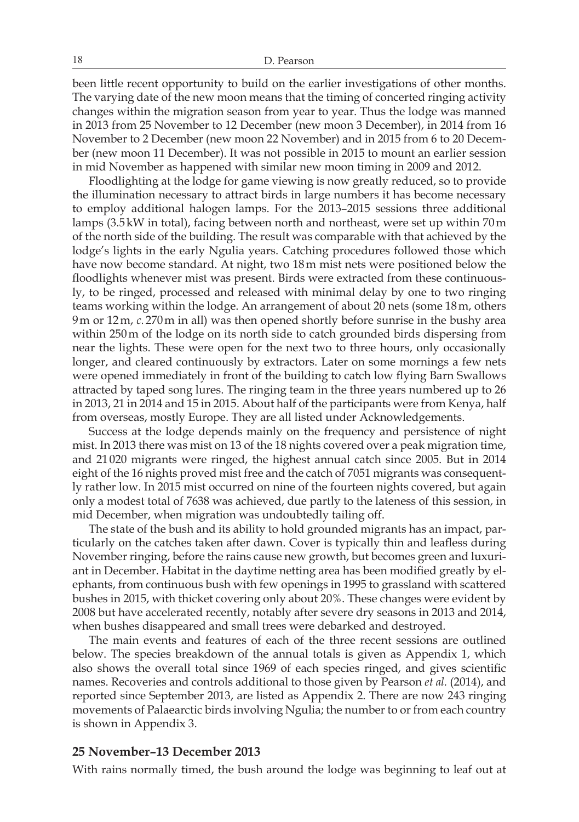been little recent opportunity to build on the earlier investigations of other months. The varying date of the new moon means that the timing of concerted ringing activity changes within the migration season from year to year. Thus the lodge was manned in 2013 from 25 November to 12 December (new moon 3 December), in 2014 from 16 November to 2 December (new moon 22 November) and in 2015 from 6 to 20 December (new moon 11 December). It was not possible in 2015 to mount an earlier session in mid November as happened with similar new moon timing in 2009 and 2012.

Floodlighting at the lodge for game viewing is now greatly reduced, so to provide the illumination necessary to attract birds in large numbers it has become necessary to employ additional halogen lamps. For the 2013–2015 sessions three additional lamps (3.5kW in total), facing between north and northeast, were set up within 70m of the north side of the building. The result was comparable with that achieved by the lodge's lights in the early Ngulia years. Catching procedures followed those which have now become standard. At night, two 18m mist nets were positioned below the floodlights whenever mist was present. Birds were extracted from these continuously, to be ringed, processed and released with minimal delay by one to two ringing teams working within the lodge. An arrangement of about 20 nets (some 18m, others 9m or 12m, *c.* 270m in all) was then opened shortly before sunrise in the bushy area within 250m of the lodge on its north side to catch grounded birds dispersing from near the lights. These were open for the next two to three hours, only occasionally longer, and cleared continuously by extractors. Later on some mornings a few nets were opened immediately in front of the building to catch low flying Barn Swallows attracted by taped song lures. The ringing team in the three years numbered up to 26 in 2013, 21 in 2014 and 15 in 2015. About half of the participants were from Kenya, half from overseas, mostly Europe. They are all listed under Acknowledgements.

Success at the lodge depends mainly on the frequency and persistence of night mist. In 2013 there was mist on 13 of the 18 nights covered over a peak migration time, and 21 020 migrants were ringed, the highest annual catch since 2005. But in 2014 eight of the 16 nights proved mist free and the catch of 7051 migrants was consequently rather low. In 2015 mist occurred on nine of the fourteen nights covered, but again only a modest total of 7638 was achieved, due partly to the lateness of this session, in mid December, when migration was undoubtedly tailing off.

The state of the bush and its ability to hold grounded migrants has an impact, particularly on the catches taken after dawn. Cover is typically thin and leafless during November ringing, before the rains cause new growth, but becomes green and luxuriant in December. Habitat in the daytime netting area has been modified greatly by elephants, from continuous bush with few openings in 1995 to grassland with scattered bushes in 2015, with thicket covering only about 20%. These changes were evident by 2008 but have accelerated recently, notably after severe dry seasons in 2013 and 2014, when bushes disappeared and small trees were debarked and destroyed.

The main events and features of each of the three recent sessions are outlined below. The species breakdown of the annual totals is given as Appendix 1, which also shows the overall total since 1969 of each species ringed, and gives scientific names. Recoveries and controls additional to those given by Pearson *et al.* (2014), and reported since September 2013, are listed as Appendix 2. There are now 243 ringing movements of Palaearctic birds involving Ngulia; the number to or from each country is shown in Appendix 3.

#### **25 November–13 December 2013**

With rains normally timed, the bush around the lodge was beginning to leaf out at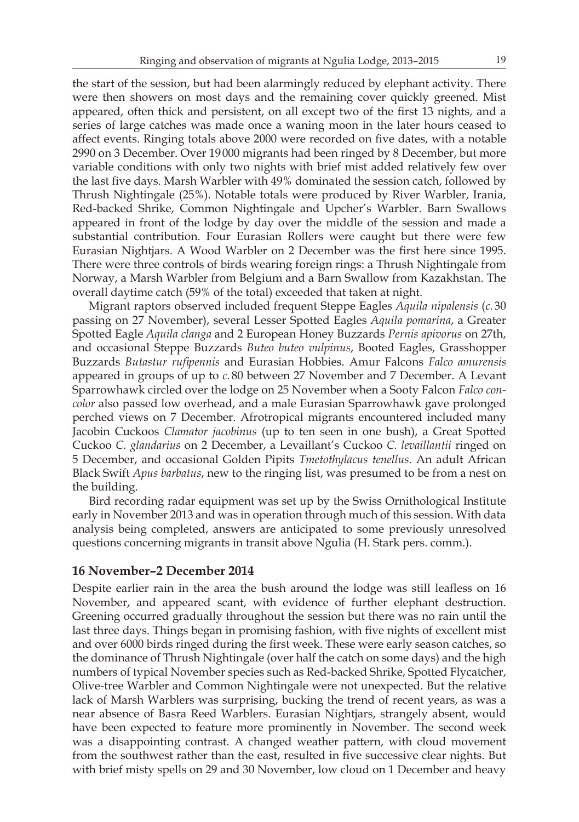the start of the session, but had been alarmingly reduced by elephant activity. There were then showers on most days and the remaining cover quickly greened. Mist appeared, often thick and persistent, on all except two of the first 13 nights, and a series of large catches was made once a waning moon in the later hours ceased to affect events. Ringing totals above 2000 were recorded on five dates, with a notable 2990 on 3 December. Over 19000 migrants had been ringed by 8 December, but more variable conditions with only two nights with brief mist added relatively few over the last five days. Marsh Warbler with 49% dominated the session catch, followed by Thrush Nightingale (25%). Notable totals were produced by River Warbler, Irania, Red-backed Shrike, Common Nightingale and Upcher's Warbler. Barn Swallows appeared in front of the lodge by day over the middle of the session and made a substantial contribution. Four Eurasian Rollers were caught but there were few

Eurasian Nightjars. A Wood Warbler on 2 December was the first here since 1995. There were three controls of birds wearing foreign rings: a Thrush Nightingale from Norway, a Marsh Warbler from Belgium and a Barn Swallow from Kazakhstan. The overall daytime catch (59% of the total) exceeded that taken at night.

Migrant raptors observed included frequent Steppe Eagles *Aquila nipalensis* (*c.* 30 passing on 27 November), several Lesser Spotted Eagles *Aquila pomarina*, a Greater Spotted Eagle *Aquila clanga* and 2 European Honey Buzzards *Pernis apivorus* on 27th, and occasional Steppe Buzzards *Buteo buteo vulpinus*, Booted Eagles, Grasshopper Buzzards *Butastur rufipennis* and Eurasian Hobbies. Amur Falcons *Falco amurensis* appeared in groups of up to *c.* 80 between 27 November and 7 December. A Levant Sparrowhawk circled over the lodge on 25 November when a Sooty Falcon *Falco concolor* also passed low overhead, and a male Eurasian Sparrowhawk gave prolonged perched views on 7 December. Afrotropical migrants encountered included many Jacobin Cuckoos *Clamator jacobinus* (up to ten seen in one bush), a Great Spotted Cuckoo *C. glandarius* on 2 December, a Levaillant's Cuckoo *C. levaillantii* ringed on 5 December, and occasional Golden Pipits *Tmetothylacus tenellus*. An adult African Black Swift *Apus barbatus*, new to the ringing list, was presumed to be from a nest on the building.

Bird recording radar equipment was set up by the Swiss Ornithological Institute early in November 2013 and was in operation through much of this session. With data analysis being completed, answers are anticipated to some previously unresolved questions concerning migrants in transit above Ngulia (H. Stark pers. comm.).

### **16 November–2 December 2014**

Despite earlier rain in the area the bush around the lodge was still leafless on 16 November, and appeared scant, with evidence of further elephant destruction. Greening occurred gradually throughout the session but there was no rain until the last three days. Things began in promising fashion, with five nights of excellent mist and over 6000 birds ringed during the first week. These were early season catches, so the dominance of Thrush Nightingale (over half the catch on some days) and the high numbers of typical November species such as Red-backed Shrike, Spotted Flycatcher, Olive-tree Warbler and Common Nightingale were not unexpected. But the relative lack of Marsh Warblers was surprising, bucking the trend of recent years, as was a near absence of Basra Reed Warblers. Eurasian Nightjars, strangely absent, would have been expected to feature more prominently in November. The second week was a disappointing contrast. A changed weather pattern, with cloud movement from the southwest rather than the east, resulted in five successive clear nights. But with brief misty spells on 29 and 30 November, low cloud on 1 December and heavy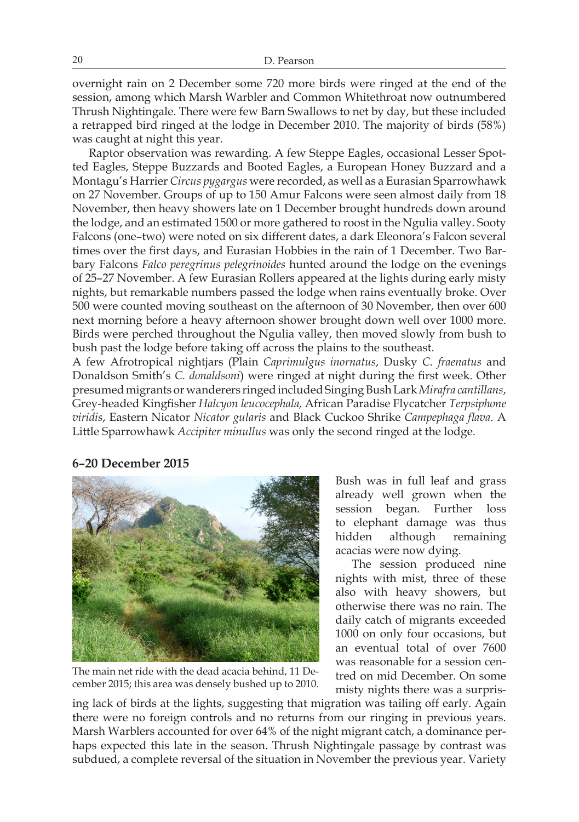overnight rain on 2 December some 720 more birds were ringed at the end of the session, among which Marsh Warbler and Common Whitethroat now outnumbered Thrush Nightingale. There were few Barn Swallows to net by day, but these included a retrapped bird ringed at the lodge in December 2010. The majority of birds (58%) was caught at night this year.

Raptor observation was rewarding. A few Steppe Eagles, occasional Lesser Spotted Eagles, Steppe Buzzards and Booted Eagles, a European Honey Buzzard and a Montagu's Harrier *Circus pygargus* were recorded, as well as a Eurasian Sparrowhawk on 27 November. Groups of up to 150 Amur Falcons were seen almost daily from 18 November, then heavy showers late on 1 December brought hundreds down around the lodge, and an estimated 1500 or more gathered to roost in the Ngulia valley. Sooty Falcons (one–two) were noted on six different dates, a dark Eleonora's Falcon several times over the first days, and Eurasian Hobbies in the rain of 1 December. Two Barbary Falcons *Falco peregrinus pelegrinoides* hunted around the lodge on the evenings of 25–27 November. A few Eurasian Rollers appeared at the lights during early misty nights, but remarkable numbers passed the lodge when rains eventually broke. Over 500 were counted moving southeast on the afternoon of 30 November, then over 600 next morning before a heavy afternoon shower brought down well over 1000 more. Birds were perched throughout the Ngulia valley, then moved slowly from bush to bush past the lodge before taking off across the plains to the southeast.

A few Afrotropical nightjars (Plain *Caprimulgus inornatus*, Dusky *C. fraenatus* and Donaldson Smith's *C. donaldsoni*) were ringed at night during the first week. Other presumed migrants or wanderers ringed included Singing Bush Lark *Mirafra cantillans*, Grey-headed Kingfisher *Halcyon leucocephala,* African Paradise Flycatcher *Terpsiphone viridis*, Eastern Nicator *Nicator gularis* and Black Cuckoo Shrike *Campephaga flava*. A Little Sparrowhawk *Accipiter minullus* was only the second ringed at the lodge.

# **6–20 December 2015**



The main net ride with the dead acacia behind, 11 December 2015; this area was densely bushed up to 2010.

Bush was in full leaf and grass already well grown when the session began. Further loss to elephant damage was thus hidden although remaining acacias were now dying.

The session produced nine nights with mist, three of these also with heavy showers, but otherwise there was no rain. The daily catch of migrants exceeded 1000 on only four occasions, but an eventual total of over 7600 was reasonable for a session centred on mid December. On some misty nights there was a surpris-

ing lack of birds at the lights, suggesting that migration was tailing off early. Again there were no foreign controls and no returns from our ringing in previous years. Marsh Warblers accounted for over 64% of the night migrant catch, a dominance perhaps expected this late in the season. Thrush Nightingale passage by contrast was subdued, a complete reversal of the situation in November the previous year. Variety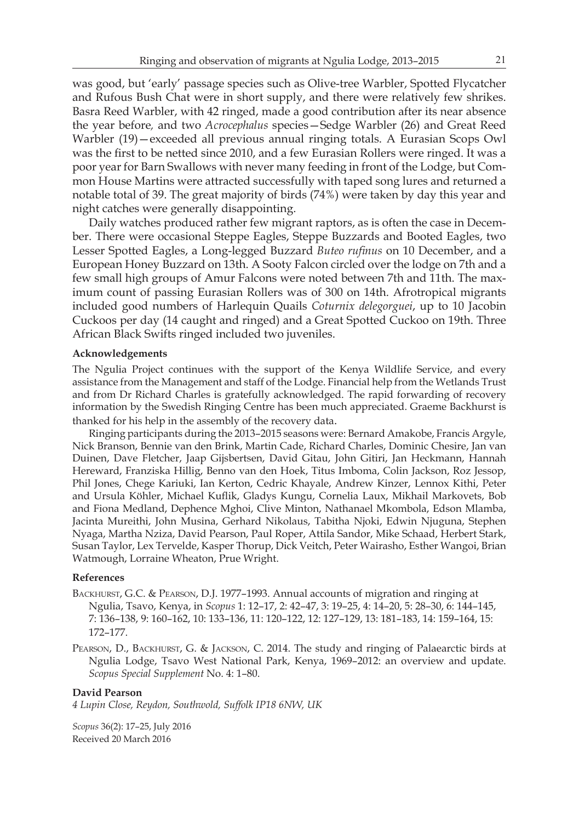was good, but 'early' passage species such as Olive-tree Warbler, Spotted Flycatcher and Rufous Bush Chat were in short supply, and there were relatively few shrikes. Basra Reed Warbler, with 42 ringed, made a good contribution after its near absence the year before*,* and two *Acrocephalus* species—Sedge Warbler (26) and Great Reed Warbler (19)—exceeded all previous annual ringing totals. A Eurasian Scops Owl was the first to be netted since 2010, and a few Eurasian Rollers were ringed. It was a poor year for Barn Swallows with never many feeding in front of the Lodge, but Common House Martins were attracted successfully with taped song lures and returned a notable total of 39. The great majority of birds (74%) were taken by day this year and night catches were generally disappointing.

Daily watches produced rather few migrant raptors, as is often the case in December. There were occasional Steppe Eagles, Steppe Buzzards and Booted Eagles, two Lesser Spotted Eagles, a Long-legged Buzzard *Buteo rufinus* on 10 December, and a European Honey Buzzard on 13th. A Sooty Falcon circled over the lodge on 7th and a few small high groups of Amur Falcons were noted between 7th and 11th. The maximum count of passing Eurasian Rollers was of 300 on 14th. Afrotropical migrants included good numbers of Harlequin Quails *Coturnix delegorguei*, up to 10 Jacobin Cuckoos per day (14 caught and ringed) and a Great Spotted Cuckoo on 19th. Three African Black Swifts ringed included two juveniles.

#### **Acknowledgements**

The Ngulia Project continues with the support of the Kenya Wildlife Service, and every assistance from the Management and staff of the Lodge. Financial help from the Wetlands Trust and from Dr Richard Charles is gratefully acknowledged. The rapid forwarding of recovery information by the Swedish Ringing Centre has been much appreciated. Graeme Backhurst is thanked for his help in the assembly of the recovery data.

Ringing participants during the 2013–2015 seasons were: Bernard Amakobe, Francis Argyle, Nick Branson, Bennie van den Brink, Martin Cade, Richard Charles, Dominic Chesire, Jan van Duinen, Dave Fletcher, Jaap Gijsbertsen, David Gitau, John Gitiri, Jan Heckmann, Hannah Hereward, Franziska Hillig, Benno van den Hoek, Titus Imboma, Colin Jackson, Roz Jessop, Phil Jones, Chege Kariuki, Ian Kerton, Cedric Khayale, Andrew Kinzer, Lennox Kithi, Peter and Ursula Köhler, Michael Kuflik, Gladys Kungu, Cornelia Laux, Mikhail Markovets, Bob and Fiona Medland, Dephence Mghoi, Clive Minton, Nathanael Mkombola, Edson Mlamba, Jacinta Mureithi, John Musina, Gerhard Nikolaus, Tabitha Njoki, Edwin Njuguna, Stephen Nyaga, Martha Nziza, David Pearson, Paul Roper, Attila Sandor, Mike Schaad, Herbert Stark, Susan Taylor, Lex Tervelde, Kasper Thorup, Dick Veitch, Peter Wairasho, Esther Wangoi, Brian Watmough, Lorraine Wheaton, Prue Wright.

#### **References**

- Backhurst, G.C. & Pearson, D.J. 1977–1993. Annual accounts of migration and ringing at Ngulia, Tsavo, Kenya, in *Scopus* 1: 12–17, 2: 42–47, 3: 19–25, 4: 14–20, 5: 28–30, 6: 144–145, 7: 136–138, 9: 160–162, 10: 133–136, 11: 120–122, 12: 127–129, 13: 181–183, 14: 159–164, 15: 172–177.
- PEARSON, D., BACKHURST, G. & JACKSON, C. 2014. The study and ringing of Palaearctic birds at Ngulia Lodge, Tsavo West National Park, Kenya, 1969–2012: an overview and update. *Scopus Special Supplement* No. 4: 1–80.

#### **David Pearson**

*4 Lupin Close, Reydon, Southwold, Suffolk IP18 6NW, UK*

*Scopus* 36(2): 17–25, July 2016 Received 20 March 2016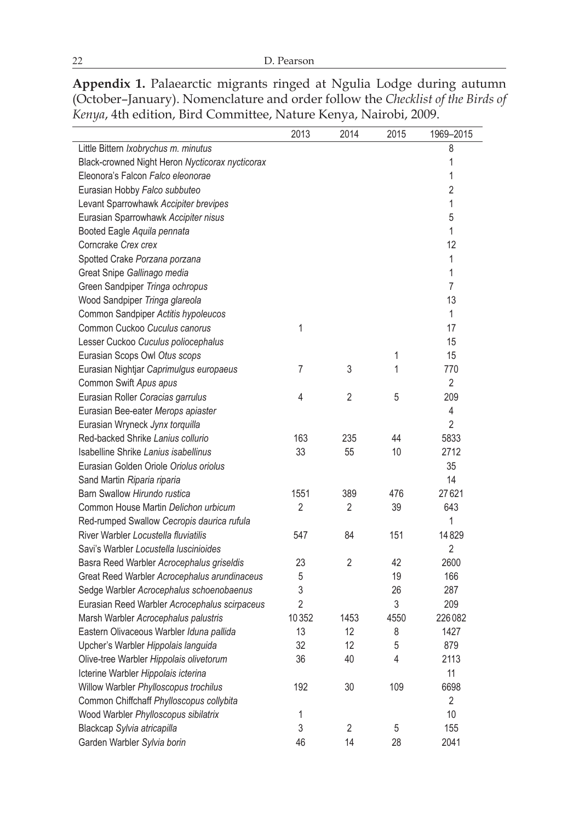**Appendix 1.** Palaearctic migrants ringed at Ngulia Lodge during autumn (October–January). Nomenclature and order follow the *Checklist of the Birds of Kenya*, 4th edition, Bird Committee, Nature Kenya, Nairobi, 2009.

|                                                 | 2013           | 2014           | 2015 | 1969-2015      |
|-------------------------------------------------|----------------|----------------|------|----------------|
| Little Bittern Ixobrychus m. minutus            |                |                |      | 8              |
| Black-crowned Night Heron Nycticorax nycticorax |                |                |      | 1              |
| Eleonora's Falcon Falco eleonorae               |                |                |      | 1              |
| Eurasian Hobby Falco subbuteo                   |                |                |      | $\overline{2}$ |
| Levant Sparrowhawk Accipiter brevipes           |                |                |      | 1              |
| Eurasian Sparrowhawk Accipiter nisus            |                |                |      | 5              |
| Booted Eagle Aquila pennata                     |                |                |      | $\mathbf{1}$   |
| Corncrake Crex crex                             |                |                |      | 12             |
| Spotted Crake Porzana porzana                   |                |                |      | 1              |
| Great Snipe Gallinago media                     |                |                |      | 1              |
| Green Sandpiper Tringa ochropus                 |                |                |      | $\overline{7}$ |
| Wood Sandpiper Tringa glareola                  |                |                |      | 13             |
| Common Sandpiper Actitis hypoleucos             |                |                |      | $\mathbf{1}$   |
| Common Cuckoo Cuculus canorus                   | 1              |                |      | 17             |
| Lesser Cuckoo Cuculus poliocephalus             |                |                |      | 15             |
| Eurasian Scops Owl Otus scops                   |                |                | 1    | 15             |
| Eurasian Nightjar Caprimulgus europaeus         | $\overline{7}$ | 3              | 1    | 770            |
| Common Swift Apus apus                          |                |                |      | $\overline{2}$ |
| Eurasian Roller Coracias garrulus               | 4              | $\overline{2}$ | 5    | 209            |
| Eurasian Bee-eater Merops apiaster              |                |                |      | 4              |
| Eurasian Wryneck Jynx torquilla                 |                |                |      | $\overline{2}$ |
| Red-backed Shrike Lanius collurio               | 163            | 235            | 44   | 5833           |
| Isabelline Shrike Lanius isabellinus            | 33             | 55             | 10   | 2712           |
| Eurasian Golden Oriole Oriolus oriolus          |                |                |      | 35             |
| Sand Martin Riparia riparia                     |                |                |      | 14             |
| Barn Swallow Hirundo rustica                    | 1551           | 389            | 476  | 27621          |
| Common House Martin Delichon urbicum            | $\overline{2}$ | 2              | 39   | 643            |
| Red-rumped Swallow Cecropis daurica rufula      |                |                |      | 1              |
| River Warbler Locustella fluviatilis            | 547            | 84             | 151  | 14829          |
| Savi's Warbler Locustella luscinioides          |                |                |      | $\overline{2}$ |
| Basra Reed Warbler Acrocephalus griseldis       | 23             | $\overline{2}$ | 42   | 2600           |
| Great Reed Warbler Acrocephalus arundinaceus    | $\sqrt{5}$     |                | 19   | 166            |
| Sedge Warbler Acrocephalus schoenobaenus        | 3              |                | 26   | 287            |
| Eurasian Reed Warbler Acrocephalus scirpaceus   | $\overline{2}$ |                | 3    | 209            |
| Marsh Warbler Acrocephalus palustris            | 10352          | 1453           | 4550 | 226082         |
| Eastern Olivaceous Warbler Iduna pallida        | 13             | 12             | 8    | 1427           |
| Upcher's Warbler Hippolais languida             | 32             | 12             | 5    | 879            |
| Olive-tree Warbler Hippolais olivetorum         | 36             | 40             | 4    | 2113           |
| Icterine Warbler Hippolais icterina             |                |                |      | 11             |
| Willow Warbler Phylloscopus trochilus           | 192            | 30             | 109  | 6698           |
| Common Chiffchaff Phylloscopus collybita        |                |                |      | $\overline{2}$ |
| Wood Warbler Phylloscopus sibilatrix            | 1              |                |      | 10             |
| Blackcap Sylvia atricapilla                     | 3              | 2              | 5    | 155            |
| Garden Warbler Sylvia borin                     | 46             | 14             | 28   | 2041           |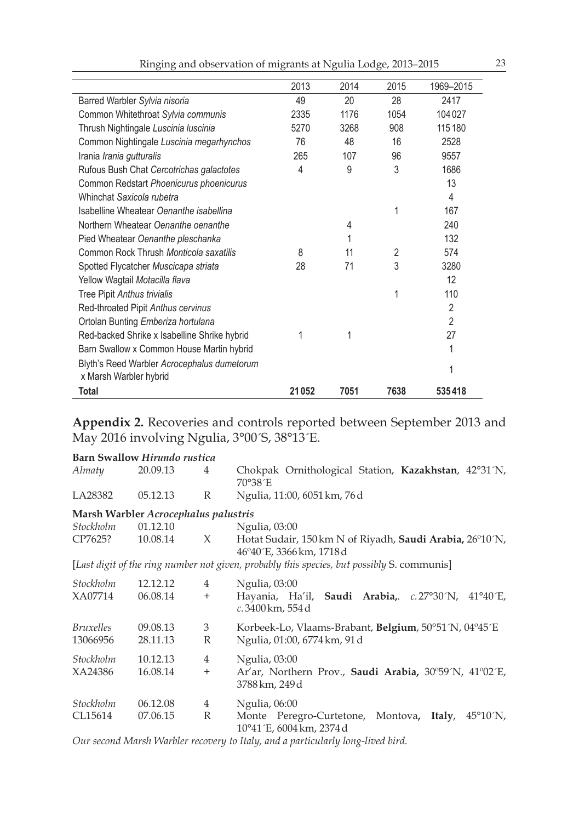|                                                                       | 2013  | 2014 | 2015           | 1969-2015      |
|-----------------------------------------------------------------------|-------|------|----------------|----------------|
| Barred Warbler Sylvia nisoria                                         | 49    | 20   | 28             | 2417           |
| Common Whitethroat Sylvia communis                                    | 2335  | 1176 | 1054           | 104027         |
| Thrush Nightingale Luscinia luscinia                                  | 5270  | 3268 | 908            | 115180         |
| Common Nightingale Luscinia megarhynchos                              | 76    | 48   | 16             | 2528           |
| Irania <i>Irania gutturalis</i>                                       | 265   | 107  | 96             | 9557           |
| Rufous Bush Chat Cercotrichas galactotes                              | 4     | 9    | 3              | 1686           |
| Common Redstart Phoenicurus phoenicurus                               |       |      |                | 13             |
| Whinchat Saxicola rubetra                                             |       |      |                | 4              |
| Isabelline Wheatear Oenanthe isabellina                               |       |      | 1              | 167            |
| Northern Wheatear Oenanthe oenanthe                                   |       | 4    |                | 240            |
| Pied Wheatear Oenanthe pleschanka                                     |       | 1    |                | 132            |
| Common Rock Thrush Monticola saxatilis                                | 8     | 11   | $\overline{2}$ | 574            |
| Spotted Flycatcher Muscicapa striata                                  | 28    | 71   | 3              | 3280           |
| Yellow Wagtail Motacilla flava                                        |       |      |                | 12             |
| Tree Pipit Anthus trivialis                                           |       |      | 1              | 110            |
| Red-throated Pipit Anthus cervinus                                    |       |      |                | $\overline{2}$ |
| Ortolan Bunting Emberiza hortulana                                    |       |      |                | $\overline{2}$ |
| Red-backed Shrike x Isabelline Shrike hybrid                          | 1     | 1    |                | 27             |
| Barn Swallow x Common House Martin hybrid                             |       |      |                | 1              |
| Blyth's Reed Warbler Acrocephalus dumetorum<br>x Marsh Warbler hybrid |       |      |                | 1              |
| Total                                                                 | 21052 | 7051 | 7638           | 535418         |

**Appendix 2.** Recoveries and controls reported between September 2013 and May 2016 involving Ngulia, 3°00´S, 38°13´E.

|                  | <b>Barn Swallow Hirundo rustica</b>  |                |                                                                                                       |
|------------------|--------------------------------------|----------------|-------------------------------------------------------------------------------------------------------|
| Almaty           | 20.09.13                             | 4              | Chokpak Ornithological Station, Kazakhstan, 42°31´N,<br>70°38′E                                       |
| LA28382          | 05.12.13                             | $\mathbb{R}$   | Ngulia, 11:00, 6051 km, 76 d                                                                          |
|                  | Marsh Warbler Acrocephalus palustris |                |                                                                                                       |
| Stockholm        | 01.12.10                             |                | Ngulia, 03:00                                                                                         |
| CP7625?          | 10.08.14                             | X              | Hotat Sudair, 150 km N of Riyadh, <b>Saudi Arabia,</b> 26°10′N,<br>46°40′E, 3366 km, 1718 d           |
|                  |                                      |                | [Last digit of the ring number not given, probably this species, but possibly S. communis]            |
| Stockholm        | 12.12.12                             | $\overline{4}$ | Ngulia, 03:00                                                                                         |
| XA07714          | 06.08.14                             | $^{+}$         | Hayania, Ha'il, Saudi Arabia, c.27°30'N, 41°40'E,<br>c. 3400 km, 554 d                                |
| <i>Bruxelles</i> | 09.08.13                             | 3              | Korbeek-Lo, Vlaams-Brabant, Belgium, 50°51´N, 04°45´E                                                 |
| 13066956         | 28.11.13                             | R              | Ngulia, 01:00, 6774 km, 91 d                                                                          |
| Stockholm        | 10.12.13                             | $\overline{4}$ | Ngulia, 03:00                                                                                         |
| XA24386          | 16.08.14                             | $^{+}$         | Ar'ar, Northern Prov., Saudi Arabia, 30°59′N, 41°02′E,<br>3788 km, 249 d                              |
| Stockholm        | 06.12.08                             | 4              | Ngulia, 06:00                                                                                         |
| CL15614          | 07.06.15                             | R              | Monte Peregro-Curtetone, Montova,<br>Italy,<br>$45^{\circ}10^{\prime}$ N.<br>10°41′E, 6004 km, 2374 d |

*Our second Marsh Warbler recovery to Italy, and a particularly long-lived bird.*

Ringing and observation of migrants at Ngulia Lodge, 2013–2015 23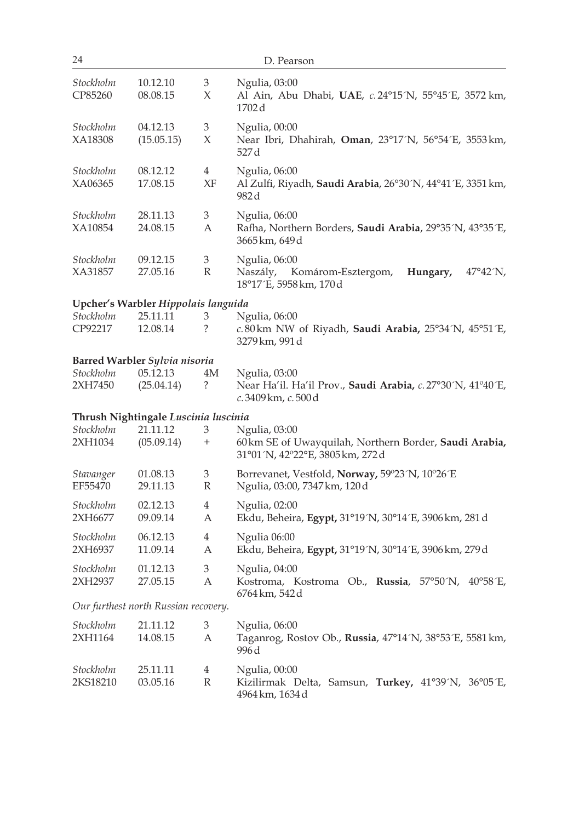| 24                    |                                      |                                | D. Pearson                                                                                                           |
|-----------------------|--------------------------------------|--------------------------------|----------------------------------------------------------------------------------------------------------------------|
| Stockholm<br>CP85260  | 10.12.10<br>08.08.15                 | 3<br>X                         | Ngulia, 03:00<br>Al Ain, Abu Dhabi, UAE, c.24°15´N, 55°45´E, 3572 km,<br>1702 d                                      |
| Stockholm<br>XA18308  | 04.12.13<br>(15.05.15)               | $\ensuremath{\mathbf{3}}$<br>X | Ngulia, 00:00<br>Near Ibri, Dhahirah, Oman, 23°17'N, 56°54'E, 3553 km,<br>527 d                                      |
| Stockholm<br>XA06365  | 08.12.12<br>17.08.15                 | $\overline{4}$<br>XF           | Ngulia, 06:00<br>Al Zulfi, Riyadh, Saudi Arabia, 26°30´N, 44°41´E, 3351 km,<br>982 d                                 |
| Stockholm<br>XA10854  | 28.11.13<br>24.08.15                 | 3<br>А                         | Ngulia, 06:00<br>Rafha, Northern Borders, Saudi Arabia, 29°35´N, 43°35´E,<br>3665 km, 649 d                          |
| Stockholm<br>XA31857  | 09.12.15<br>27.05.16                 | 3<br>$\mathbb R$               | Ngulia, 06:00<br>Naszály,<br>Komárom-Esztergom,<br>Hungary,<br>$47^{\circ}42^{\prime}N$ ,<br>18°17'E, 5958 km, 170 d |
|                       | Upcher's Warbler Hippolais languida  |                                |                                                                                                                      |
| Stockholm<br>CP92217  | 25.11.11<br>12.08.14                 | 3<br>?                         | Ngulia, 06:00<br>c.80km NW of Riyadh, Saudi Arabia, 25°34´N, 45°51´E,<br>3279 km, 991 d                              |
|                       | Barred Warbler Sylvia nisoria        |                                |                                                                                                                      |
| Stockholm<br>2XH7450  | 05.12.13<br>(25.04.14)               | 4M<br>?                        | Ngulia, 03:00<br>Near Ha'il. Ha'il Prov., <b>Saudi Arabia,</b> c. 27°30´N, 41°40´E,<br>c. 3409 km, c. 500 d          |
|                       | Thrush Nightingale Luscinia luscinia |                                |                                                                                                                      |
| Stockholm             | 21.11.12                             | 3                              | Ngulia, 03:00                                                                                                        |
| 2XH1034               | (05.09.14)                           | $^+$                           | 60km SE of Uwayquilah, Northern Border, Saudi Arabia,<br>31°01′N, 42°22°E, 3805 km, 272 d                            |
| Stavanger<br>EF55470  | 01.08.13<br>29.11.13                 | 3<br>$\mathbb{R}$              | Borrevanet, Vestfold, Norway, 59°23´N, 10°26´E<br>Ngulia, 03:00, 7347 km, 120 d                                      |
| Stockholm<br>2XH6677  | 02.12.13<br>09.09.14                 | $\overline{4}$<br>А            | Ngulia, 02:00<br>Ekdu, Beheira, Egypt, 31°19'N, 30°14'E, 3906 km, 281 d                                              |
| Stockholm<br>2XH6937  | 06.12.13<br>11.09.14                 | $\overline{4}$<br>А            | Ngulia 06:00<br>Ekdu, Beheira, Egypt, 31°19'N, 30°14'E, 3906 km, 279d                                                |
| Stockholm<br>2XH2937  | 01.12.13<br>27.05.15                 | 3<br>A                         | Ngulia, 04:00<br>Kostroma, Kostroma Ob., Russia, 57°50'N, 40°58'E,<br>6764 km, 542 d                                 |
|                       | Our furthest north Russian recovery. |                                |                                                                                                                      |
| Stockholm<br>2XH1164  | 21.11.12<br>14.08.15                 | 3<br>А                         | Ngulia, 06:00<br>Taganrog, Rostov Ob., Russia, 47°14´N, 38°53´E, 5581 km,                                            |
|                       |                                      |                                | 996 d                                                                                                                |
| Stockholm<br>2KS18210 | 25.11.11<br>03.05.16                 | $\overline{4}$<br>$\mathbb R$  | Ngulia, 00:00<br>Kizilirmak Delta, Samsun, Turkey, 41°39´N, 36°05´E,<br>4964 km, 1634 d                              |